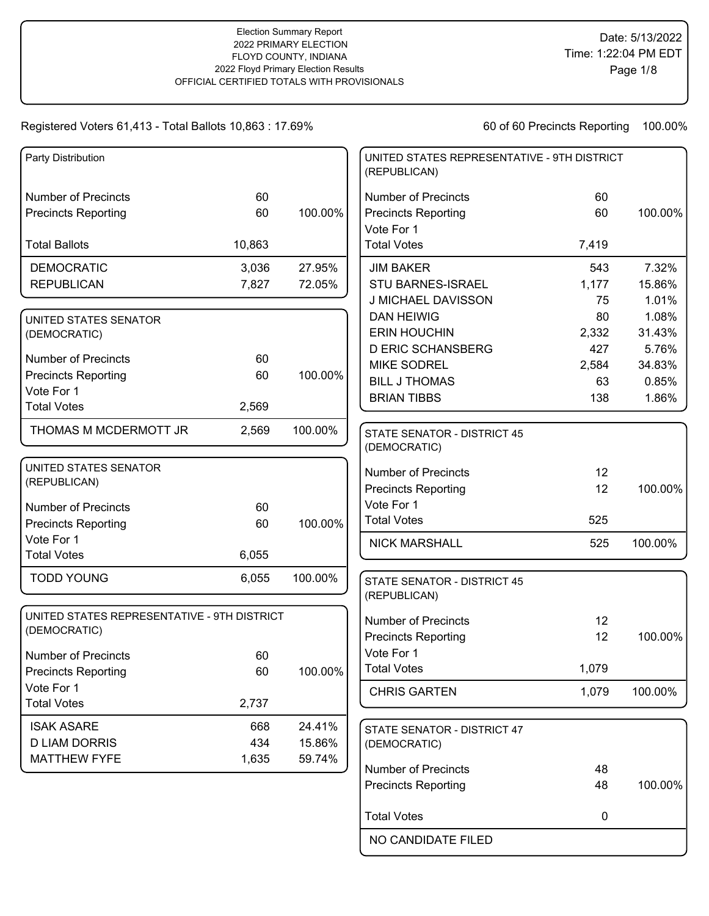| Party Distribution                          |        |         | UNITED STATES REPRESENTATIVE - 9TH DISTRICT<br>(REPUBLICAN) |       |         |
|---------------------------------------------|--------|---------|-------------------------------------------------------------|-------|---------|
| <b>Number of Precincts</b>                  | 60     |         | <b>Number of Precincts</b>                                  | 60    |         |
| <b>Precincts Reporting</b>                  | 60     | 100.00% | <b>Precincts Reporting</b>                                  | 60    | 100.00% |
|                                             |        |         | Vote For 1                                                  |       |         |
| <b>Total Ballots</b>                        | 10,863 |         | <b>Total Votes</b>                                          | 7,419 |         |
| <b>DEMOCRATIC</b>                           | 3,036  | 27.95%  | <b>JIM BAKER</b>                                            | 543   | 7.32%   |
| <b>REPUBLICAN</b>                           | 7,827  | 72.05%  | <b>STU BARNES-ISRAEL</b>                                    | 1,177 | 15.86%  |
|                                             |        |         | J MICHAEL DAVISSON                                          | 75    | 1.01%   |
| UNITED STATES SENATOR                       |        |         | <b>DAN HEIWIG</b>                                           | 80    | 1.08%   |
| (DEMOCRATIC)                                |        |         | <b>ERIN HOUCHIN</b>                                         | 2,332 | 31.43%  |
| <b>Number of Precincts</b>                  | 60     |         | <b>D ERIC SCHANSBERG</b>                                    | 427   | 5.76%   |
| <b>Precincts Reporting</b>                  | 60     | 100.00% | <b>MIKE SODREL</b>                                          | 2,584 | 34.83%  |
| Vote For 1                                  |        |         | <b>BILL J THOMAS</b>                                        | 63    | 0.85%   |
| <b>Total Votes</b>                          | 2,569  |         | <b>BRIAN TIBBS</b>                                          | 138   | 1.86%   |
|                                             |        |         |                                                             |       |         |
| THOMAS M MCDERMOTT JR                       | 2,569  | 100.00% | <b>STATE SENATOR - DISTRICT 45</b>                          |       |         |
|                                             |        |         | (DEMOCRATIC)                                                |       |         |
| UNITED STATES SENATOR                       |        |         | <b>Number of Precincts</b>                                  | 12    |         |
| (REPUBLICAN)                                |        |         | <b>Precincts Reporting</b>                                  | 12    | 100.00% |
| <b>Number of Precincts</b>                  | 60     |         | Vote For 1                                                  |       |         |
| <b>Precincts Reporting</b>                  | 60     | 100.00% | <b>Total Votes</b>                                          | 525   |         |
| Vote For 1                                  |        |         |                                                             |       |         |
| <b>Total Votes</b>                          | 6,055  |         | <b>NICK MARSHALL</b>                                        | 525   | 100.00% |
|                                             |        |         |                                                             |       |         |
| <b>TODD YOUNG</b>                           | 6,055  | 100.00% | STATE SENATOR - DISTRICT 45                                 |       |         |
|                                             |        |         | (REPUBLICAN)                                                |       |         |
| UNITED STATES REPRESENTATIVE - 9TH DISTRICT |        |         | <b>Number of Precincts</b>                                  | 12    |         |
| (DEMOCRATIC)                                |        |         | <b>Precincts Reporting</b>                                  | 12    | 100.00% |
| <b>Number of Precincts</b>                  | 60     |         | Vote For 1                                                  |       |         |
| <b>Precincts Reporting</b>                  | 60     | 100.00% | <b>Total Votes</b>                                          | 1,079 |         |
| Vote For 1                                  |        |         |                                                             |       |         |
| <b>Total Votes</b>                          | 2,737  |         | <b>CHRIS GARTEN</b>                                         | 1,079 | 100.00% |
|                                             |        |         |                                                             |       |         |
| <b>ISAK ASARE</b>                           | 668    | 24.41%  | STATE SENATOR - DISTRICT 47                                 |       |         |
| <b>D LIAM DORRIS</b>                        | 434    | 15.86%  | (DEMOCRATIC)                                                |       |         |
| <b>MATTHEW FYFE</b>                         | 1,635  | 59.74%  | <b>Number of Precincts</b>                                  | 48    |         |
|                                             |        |         | <b>Precincts Reporting</b>                                  | 48    | 100.00% |
|                                             |        |         |                                                             |       |         |
|                                             |        |         | <b>Total Votes</b>                                          | 0     |         |
|                                             |        |         | NO CANDIDATE FILED                                          |       |         |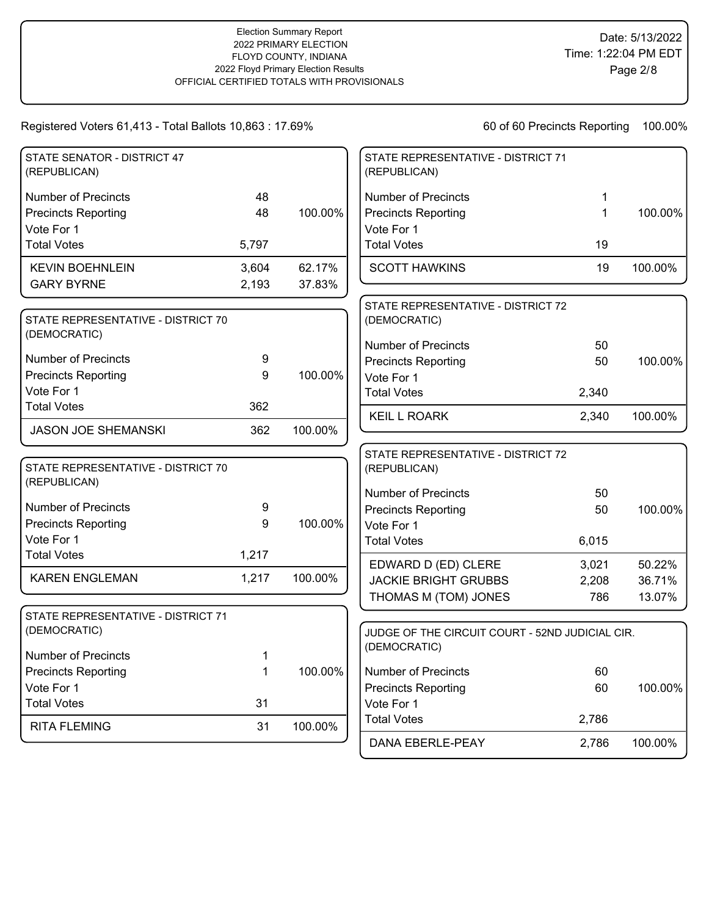| STATE SENATOR - DISTRICT 47<br>(REPUBLICAN) |       |         | STATE REPRESENTATIVE - DISTRICT 71<br>(REPUBLICAN) |              |         |
|---------------------------------------------|-------|---------|----------------------------------------------------|--------------|---------|
| <b>Number of Precincts</b>                  | 48    |         | <b>Number of Precincts</b>                         | 1            |         |
| <b>Precincts Reporting</b>                  | 48    | 100.00% | <b>Precincts Reporting</b>                         | $\mathbf{1}$ | 100.00% |
| Vote For 1                                  |       |         | Vote For 1                                         |              |         |
| <b>Total Votes</b>                          | 5,797 |         | <b>Total Votes</b>                                 | 19           |         |
| <b>KEVIN BOEHNLEIN</b>                      | 3,604 | 62.17%  | <b>SCOTT HAWKINS</b>                               | 19           | 100.00% |
| <b>GARY BYRNE</b>                           | 2,193 | 37.83%  |                                                    |              |         |
| STATE REPRESENTATIVE - DISTRICT 70          |       |         | STATE REPRESENTATIVE - DISTRICT 72<br>(DEMOCRATIC) |              |         |
| (DEMOCRATIC)                                |       |         | <b>Number of Precincts</b>                         | 50           |         |
| <b>Number of Precincts</b>                  | 9     |         | <b>Precincts Reporting</b>                         | 50           | 100.00% |
| <b>Precincts Reporting</b>                  | 9     | 100.00% | Vote For 1                                         |              |         |
| Vote For 1                                  |       |         | <b>Total Votes</b>                                 | 2,340        |         |
| <b>Total Votes</b>                          | 362   |         | <b>KEIL L ROARK</b>                                | 2,340        | 100.00% |
| <b>JASON JOE SHEMANSKI</b>                  | 362   | 100.00% |                                                    |              |         |
| STATE REPRESENTATIVE - DISTRICT 70          |       |         | STATE REPRESENTATIVE - DISTRICT 72<br>(REPUBLICAN) |              |         |
| (REPUBLICAN)                                |       |         | <b>Number of Precincts</b>                         | 50           |         |
| <b>Number of Precincts</b>                  | 9     |         | <b>Precincts Reporting</b>                         | 50           | 100.00% |
| <b>Precincts Reporting</b>                  | 9     | 100.00% | Vote For 1                                         |              |         |
| Vote For 1                                  |       |         | <b>Total Votes</b>                                 | 6,015        |         |
| <b>Total Votes</b>                          | 1,217 |         | EDWARD D (ED) CLERE                                | 3,021        | 50.22%  |
| <b>KAREN ENGLEMAN</b>                       | 1,217 | 100.00% | <b>JACKIE BRIGHT GRUBBS</b>                        | 2,208        | 36.71%  |
|                                             |       |         | THOMAS M (TOM) JONES                               | 786          | 13.07%  |
| STATE REPRESENTATIVE - DISTRICT 71          |       |         |                                                    |              |         |
| (DEMOCRATIC)                                |       |         | JUDGE OF THE CIRCUIT COURT - 52ND JUDICIAL CIR.    |              |         |
| <b>Number of Precincts</b>                  | 1     |         | (DEMOCRATIC)                                       |              |         |
| <b>Precincts Reporting</b>                  | 1     | 100.00% | <b>Number of Precincts</b>                         | 60           |         |
| Vote For 1                                  |       |         | <b>Precincts Reporting</b>                         | 60           | 100.00% |
| <b>Total Votes</b>                          | 31    |         | Vote For 1                                         |              |         |
| <b>RITA FLEMING</b>                         | 31    | 100.00% | <b>Total Votes</b>                                 | 2,786        |         |
|                                             |       |         | DANA EBERLE-PEAY                                   | 2,786        | 100.00% |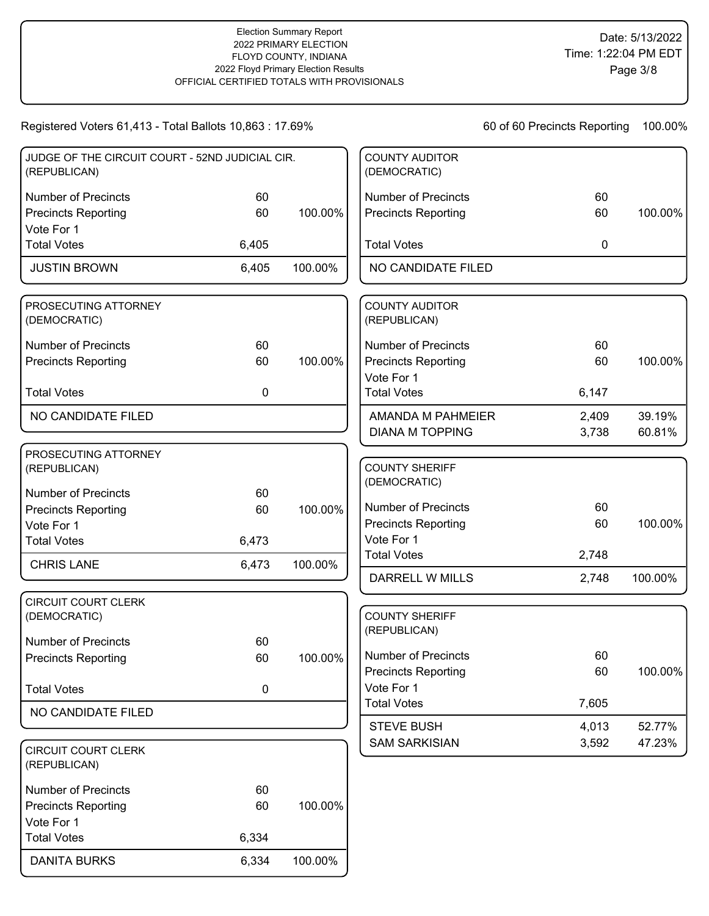| Registered Voters 61,413 - Total Ballots 10,863 : 17.69%        |       |         |                                       | 60 of 60 Precincts Reporting | 100.00% |
|-----------------------------------------------------------------|-------|---------|---------------------------------------|------------------------------|---------|
| JUDGE OF THE CIRCUIT COURT - 52ND JUDICIAL CIR.<br>(REPUBLICAN) |       |         | <b>COUNTY AUDITOR</b><br>(DEMOCRATIC) |                              |         |
| <b>Number of Precincts</b>                                      | 60    |         | <b>Number of Precincts</b>            | 60                           |         |
| <b>Precincts Reporting</b>                                      | 60    | 100.00% | <b>Precincts Reporting</b>            | 60                           | 100.00% |
| Vote For 1                                                      |       |         |                                       |                              |         |
| <b>Total Votes</b>                                              | 6,405 |         | <b>Total Votes</b>                    | 0                            |         |
| <b>JUSTIN BROWN</b>                                             | 6,405 | 100.00% | NO CANDIDATE FILED                    |                              |         |
| PROSECUTING ATTORNEY<br>(DEMOCRATIC)                            |       |         | <b>COUNTY AUDITOR</b><br>(REPUBLICAN) |                              |         |
| <b>Number of Precincts</b>                                      | 60    |         | <b>Number of Precincts</b>            | 60                           |         |
| <b>Precincts Reporting</b>                                      | 60    | 100.00% | <b>Precincts Reporting</b>            | 60                           | 100.00% |
|                                                                 |       |         | Vote For 1                            |                              |         |
| <b>Total Votes</b>                                              | 0     |         | <b>Total Votes</b>                    | 6,147                        |         |
| NO CANDIDATE FILED                                              |       |         | AMANDA M PAHMEIER                     | 2,409                        | 39.19%  |
|                                                                 |       |         | <b>DIANA M TOPPING</b>                | 3,738                        | 60.81%  |
| PROSECUTING ATTORNEY<br>(REPUBLICAN)                            |       |         | <b>COUNTY SHERIFF</b><br>(DEMOCRATIC) |                              |         |
| <b>Number of Precincts</b>                                      | 60    |         |                                       |                              |         |
| <b>Precincts Reporting</b>                                      | 60    | 100.00% | <b>Number of Precincts</b>            | 60                           |         |
| Vote For 1                                                      |       |         | <b>Precincts Reporting</b>            | 60                           | 100.00% |
| <b>Total Votes</b>                                              | 6,473 |         | Vote For 1                            |                              |         |
| <b>CHRIS LANE</b>                                               | 6,473 | 100.00% | <b>Total Votes</b>                    | 2,748                        |         |
|                                                                 |       |         | <b>DARRELL W MILLS</b>                | 2,748                        | 100.00% |
| <b>CIRCUIT COURT CLERK</b><br>(DEMOCRATIC)                      |       |         | <b>COUNTY SHERIFF</b><br>(REPUBLICAN) |                              |         |
| <b>Number of Precincts</b>                                      | 60    |         |                                       |                              |         |
| <b>Precincts Reporting</b>                                      | 60    | 100.00% | <b>Number of Precincts</b>            | 60                           |         |
|                                                                 |       |         | <b>Precincts Reporting</b>            | 60                           | 100.00% |
| <b>Total Votes</b>                                              | 0     |         | Vote For 1                            |                              |         |
| NO CANDIDATE FILED                                              |       |         | <b>Total Votes</b>                    | 7,605                        |         |
|                                                                 |       |         | <b>STEVE BUSH</b>                     | 4,013                        | 52.77%  |
| <b>CIRCUIT COURT CLERK</b><br>(REPUBLICAN)                      |       |         | <b>SAM SARKISIAN</b>                  | 3,592                        | 47.23%  |
| <b>Number of Precincts</b>                                      | 60    |         |                                       |                              |         |
| <b>Precincts Reporting</b>                                      | 60    | 100.00% |                                       |                              |         |
| Vote For 1                                                      |       |         |                                       |                              |         |
| <b>Total Votes</b>                                              | 6,334 |         |                                       |                              |         |
| <b>DANITA BURKS</b>                                             | 6,334 | 100.00% |                                       |                              |         |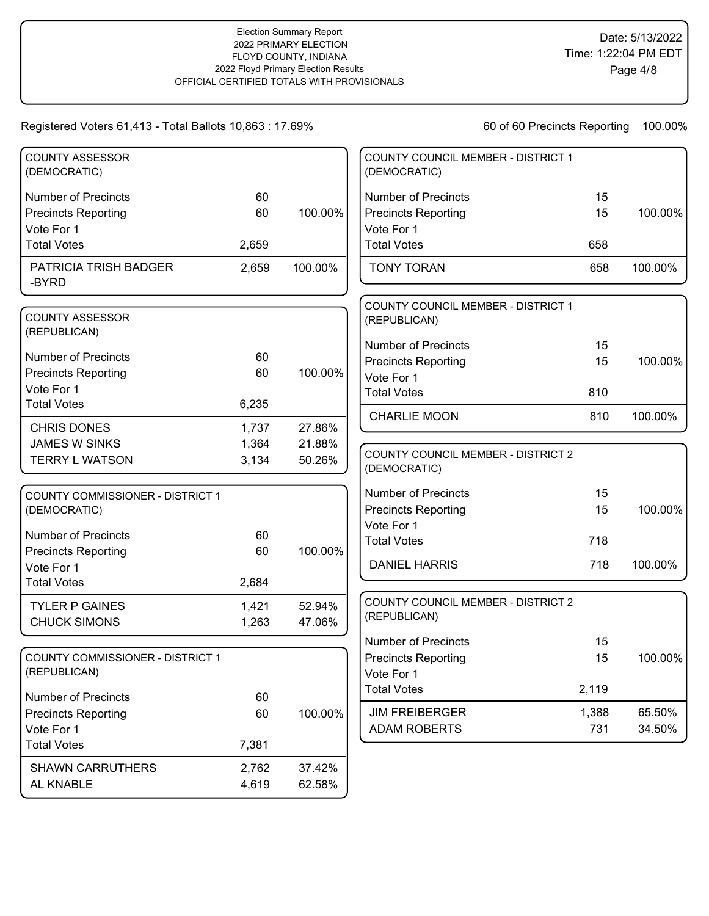|       |                                                 | COUNTY COUNCIL MEMBER - DISTRICT 1<br>(DEMOCRATIC) |                                                                                                                                                                                                                                   |                                                 |
|-------|-------------------------------------------------|----------------------------------------------------|-----------------------------------------------------------------------------------------------------------------------------------------------------------------------------------------------------------------------------------|-------------------------------------------------|
| 60    |                                                 | <b>Number of Precincts</b>                         | 15                                                                                                                                                                                                                                |                                                 |
| 60    | 100.00%                                         | <b>Precincts Reporting</b>                         | 15                                                                                                                                                                                                                                | 100.00%                                         |
|       |                                                 | Vote For 1                                         |                                                                                                                                                                                                                                   |                                                 |
| 2,659 |                                                 | <b>Total Votes</b>                                 | 658                                                                                                                                                                                                                               |                                                 |
| 2,659 | 100.00%                                         | <b>TONY TORAN</b>                                  | 658                                                                                                                                                                                                                               | 100.00%                                         |
|       |                                                 | COUNTY COUNCIL MEMBER - DISTRICT 1                 |                                                                                                                                                                                                                                   |                                                 |
|       |                                                 | (REPUBLICAN)                                       |                                                                                                                                                                                                                                   |                                                 |
|       |                                                 | <b>Number of Precincts</b>                         | 15                                                                                                                                                                                                                                |                                                 |
|       |                                                 | <b>Precincts Reporting</b>                         | 15                                                                                                                                                                                                                                | 100.00%                                         |
|       |                                                 | Vote For 1                                         |                                                                                                                                                                                                                                   |                                                 |
|       |                                                 | <b>Total Votes</b>                                 | 810                                                                                                                                                                                                                               |                                                 |
|       |                                                 | <b>CHARLIE MOON</b>                                | 810                                                                                                                                                                                                                               | 100.00%                                         |
| 1,737 |                                                 |                                                    |                                                                                                                                                                                                                                   |                                                 |
| 1,364 | 21.88%                                          |                                                    |                                                                                                                                                                                                                                   |                                                 |
| 3,134 | 50.26%                                          | (DEMOCRATIC)                                       |                                                                                                                                                                                                                                   |                                                 |
|       |                                                 |                                                    |                                                                                                                                                                                                                                   |                                                 |
|       |                                                 |                                                    |                                                                                                                                                                                                                                   | 100.00%                                         |
|       |                                                 |                                                    |                                                                                                                                                                                                                                   |                                                 |
| 60    |                                                 |                                                    |                                                                                                                                                                                                                                   |                                                 |
| 60    | 100.00%                                         |                                                    |                                                                                                                                                                                                                                   |                                                 |
|       |                                                 |                                                    |                                                                                                                                                                                                                                   | 100.00%                                         |
|       |                                                 |                                                    |                                                                                                                                                                                                                                   |                                                 |
| 1,421 | 52.94%                                          | COUNTY COUNCIL MEMBER - DISTRICT 2                 |                                                                                                                                                                                                                                   |                                                 |
| 1,263 | 47.06%                                          |                                                    |                                                                                                                                                                                                                                   |                                                 |
|       |                                                 | <b>Number of Precincts</b>                         | 15                                                                                                                                                                                                                                |                                                 |
|       |                                                 | <b>Precincts Reporting</b>                         | 15                                                                                                                                                                                                                                | 100.00%                                         |
|       |                                                 | Vote For 1                                         |                                                                                                                                                                                                                                   |                                                 |
|       |                                                 | <b>Total Votes</b>                                 |                                                                                                                                                                                                                                   |                                                 |
|       |                                                 |                                                    |                                                                                                                                                                                                                                   | 65.50%                                          |
|       |                                                 |                                                    |                                                                                                                                                                                                                                   | 34.50%                                          |
|       |                                                 |                                                    |                                                                                                                                                                                                                                   |                                                 |
|       |                                                 |                                                    |                                                                                                                                                                                                                                   |                                                 |
| 2,762 | 37.42%                                          |                                                    |                                                                                                                                                                                                                                   |                                                 |
| 4,619 | 62.58%                                          |                                                    |                                                                                                                                                                                                                                   |                                                 |
|       | 60<br>60<br>6,235<br>2,684<br>60<br>60<br>7,381 | 100.00%<br>27.86%<br>100.00%                       | <b>COUNTY COUNCIL MEMBER - DISTRICT 2</b><br><b>Number of Precincts</b><br><b>Precincts Reporting</b><br>Vote For 1<br><b>Total Votes</b><br><b>DANIEL HARRIS</b><br>(REPUBLICAN)<br><b>JIM FREIBERGER</b><br><b>ADAM ROBERTS</b> | 15<br>15<br>718<br>718<br>2,119<br>1,388<br>731 |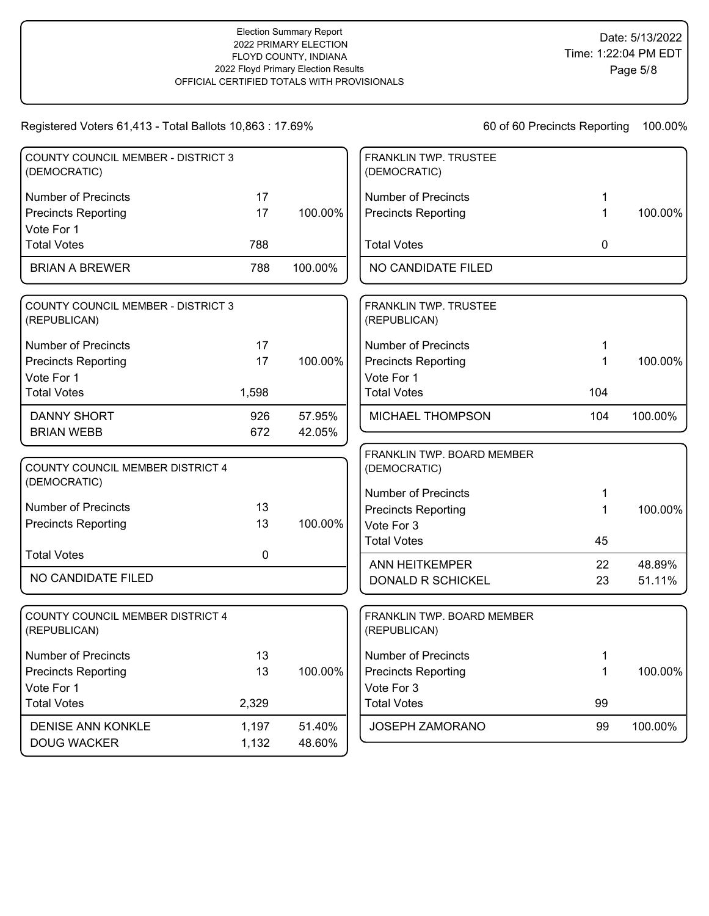| <b>COUNTY COUNCIL MEMBER - DISTRICT 3</b><br>(DEMOCRATIC) |             |         | <b>FRANKLIN TWP. TRUSTEE</b><br>(DEMOCRATIC) |     |         |
|-----------------------------------------------------------|-------------|---------|----------------------------------------------|-----|---------|
| <b>Number of Precincts</b>                                | 17          |         | <b>Number of Precincts</b>                   | 1   |         |
| <b>Precincts Reporting</b><br>Vote For 1                  | 17          | 100.00% | <b>Precincts Reporting</b>                   | 1   | 100.00% |
| <b>Total Votes</b>                                        | 788         |         | <b>Total Votes</b>                           | 0   |         |
| <b>BRIAN A BREWER</b>                                     | 788         | 100.00% | NO CANDIDATE FILED                           |     |         |
| <b>COUNTY COUNCIL MEMBER - DISTRICT 3</b><br>(REPUBLICAN) |             |         | FRANKLIN TWP. TRUSTEE<br>(REPUBLICAN)        |     |         |
| <b>Number of Precincts</b>                                | 17          |         | <b>Number of Precincts</b>                   | 1   |         |
| <b>Precincts Reporting</b>                                | 17          | 100.00% | <b>Precincts Reporting</b>                   | 1   | 100.00% |
| Vote For 1                                                |             |         | Vote For 1                                   |     |         |
| <b>Total Votes</b>                                        | 1,598       |         | <b>Total Votes</b>                           | 104 |         |
| <b>DANNY SHORT</b>                                        | 926         | 57.95%  | MICHAEL THOMPSON                             | 104 | 100.00% |
| <b>BRIAN WEBB</b>                                         | 672         | 42.05%  |                                              |     |         |
| COUNTY COUNCIL MEMBER DISTRICT 4<br>(DEMOCRATIC)          |             |         | FRANKLIN TWP. BOARD MEMBER<br>(DEMOCRATIC)   |     |         |
|                                                           |             |         | <b>Number of Precincts</b>                   | 1   |         |
| <b>Number of Precincts</b>                                | 13          |         | <b>Precincts Reporting</b>                   | 1   | 100.00% |
| <b>Precincts Reporting</b>                                | 13          | 100.00% | Vote For 3                                   |     |         |
| <b>Total Votes</b>                                        | $\mathbf 0$ |         | <b>Total Votes</b>                           | 45  |         |
|                                                           |             |         | <b>ANN HEITKEMPER</b>                        | 22  | 48.89%  |
| NO CANDIDATE FILED                                        |             |         | DONALD R SCHICKEL                            | 23  | 51.11%  |
| COUNTY COUNCIL MEMBER DISTRICT 4<br>(REPUBLICAN)          |             |         | FRANKLIN TWP. BOARD MEMBER<br>(REPUBLICAN)   |     |         |
| <b>Number of Precincts</b>                                | 13          |         | Number of Precincts                          | 1   |         |
| <b>Precincts Reporting</b>                                | 13          | 100.00% | <b>Precincts Reporting</b>                   | 1   | 100.00% |
| Vote For 1                                                |             |         | Vote For 3                                   |     |         |
| <b>Total Votes</b>                                        | 2,329       |         | <b>Total Votes</b>                           | 99  |         |
| <b>DENISE ANN KONKLE</b>                                  | 1,197       | 51.40%  | <b>JOSEPH ZAMORANO</b>                       | 99  | 100.00% |
| <b>DOUG WACKER</b>                                        | 1,132       | 48.60%  |                                              |     |         |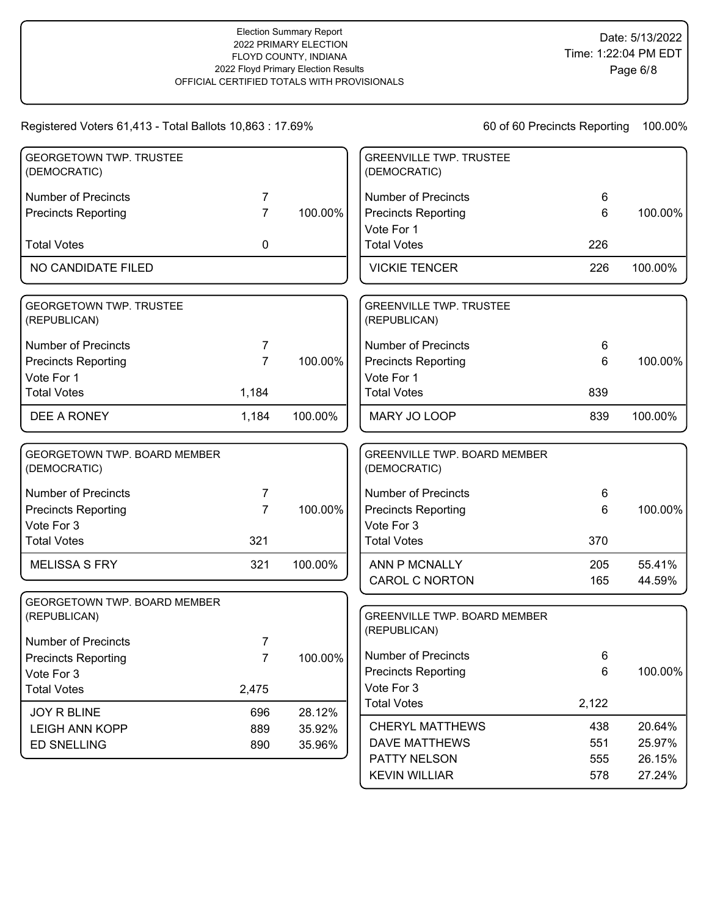| <b>GEORGETOWN TWP. TRUSTEE</b><br>(DEMOCRATIC) |                |         | <b>GREENVILLE TWP. TRUSTEE</b><br>(DEMOCRATIC)      |       |         |
|------------------------------------------------|----------------|---------|-----------------------------------------------------|-------|---------|
| <b>Number of Precincts</b>                     | 7              |         | <b>Number of Precincts</b>                          | 6     |         |
| <b>Precincts Reporting</b>                     | $\overline{7}$ | 100.00% | <b>Precincts Reporting</b>                          | 6     | 100.00% |
| <b>Total Votes</b>                             | 0              |         | Vote For 1<br><b>Total Votes</b>                    | 226   |         |
| NO CANDIDATE FILED                             |                |         | <b>VICKIE TENCER</b>                                | 226   | 100.00% |
| <b>GEORGETOWN TWP. TRUSTEE</b><br>(REPUBLICAN) |                |         | <b>GREENVILLE TWP. TRUSTEE</b><br>(REPUBLICAN)      |       |         |
| <b>Number of Precincts</b>                     | 7              |         | <b>Number of Precincts</b>                          | 6     |         |
| <b>Precincts Reporting</b>                     | $\overline{7}$ | 100.00% | <b>Precincts Reporting</b>                          | 6     | 100.00% |
| Vote For 1                                     |                |         | Vote For 1                                          |       |         |
| <b>Total Votes</b>                             | 1,184          |         | <b>Total Votes</b>                                  | 839   |         |
| DEE A RONEY                                    | 1,184          | 100.00% | MARY JO LOOP                                        | 839   | 100.00% |
| GEORGETOWN TWP. BOARD MEMBER<br>(DEMOCRATIC)   |                |         | <b>GREENVILLE TWP. BOARD MEMBER</b><br>(DEMOCRATIC) |       |         |
| Number of Precincts                            | 7              |         | <b>Number of Precincts</b>                          | 6     |         |
| <b>Precincts Reporting</b>                     | $\overline{7}$ | 100.00% | <b>Precincts Reporting</b>                          | 6     | 100.00% |
| Vote For 3                                     |                |         | Vote For 3                                          |       |         |
| <b>Total Votes</b>                             | 321            |         | <b>Total Votes</b>                                  | 370   |         |
| <b>MELISSA S FRY</b>                           | 321            | 100.00% | ANN P MCNALLY                                       | 205   | 55.41%  |
|                                                |                |         | <b>CAROL C NORTON</b>                               | 165   | 44.59%  |
| GEORGETOWN TWP. BOARD MEMBER<br>(REPUBLICAN)   |                |         | <b>GREENVILLE TWP. BOARD MEMBER</b><br>(REPUBLICAN) |       |         |
| <b>Number of Precincts</b>                     | 7              |         |                                                     |       |         |
| <b>Precincts Reporting</b>                     | $\overline{7}$ | 100.00% | <b>Number of Precincts</b>                          | 6     |         |
| Vote For 3                                     |                |         | <b>Precincts Reporting</b>                          | 6     | 100.00% |
| <b>Total Votes</b>                             | 2,475          |         | Vote For 3<br><b>Total Votes</b>                    |       |         |
| JOY R BLINE                                    | 696            | 28.12%  |                                                     | 2,122 |         |
| <b>LEIGH ANN KOPP</b>                          | 889            | 35.92%  | <b>CHERYL MATTHEWS</b>                              | 438   | 20.64%  |
| <b>ED SNELLING</b>                             | 890            | 35.96%  | <b>DAVE MATTHEWS</b>                                | 551   | 25.97%  |
|                                                |                |         | PATTY NELSON                                        | 555   | 26.15%  |
|                                                |                |         | <b>KEVIN WILLIAR</b>                                | 578   | 27.24%  |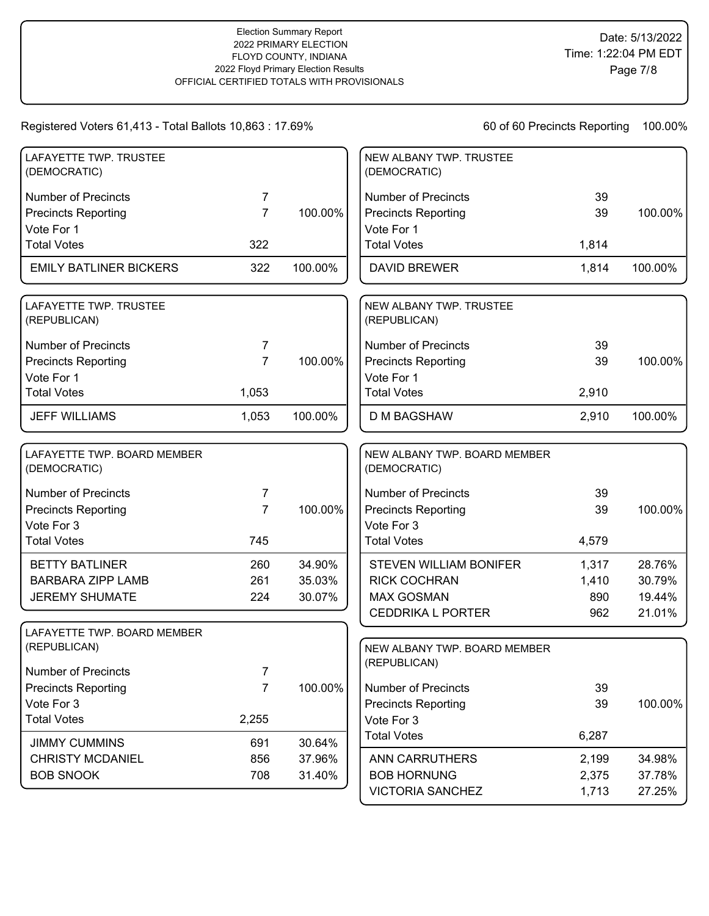| LAFAYETTE TWP. TRUSTEE<br>(DEMOCRATIC)      |                |         | NEW ALBANY TWP. TRUSTEE<br>(DEMOCRATIC)      |       |         |
|---------------------------------------------|----------------|---------|----------------------------------------------|-------|---------|
| <b>Number of Precincts</b>                  | 7              |         | <b>Number of Precincts</b>                   | 39    |         |
| <b>Precincts Reporting</b>                  | $\overline{7}$ | 100.00% | <b>Precincts Reporting</b>                   | 39    | 100.00% |
| Vote For 1                                  |                |         | Vote For 1                                   |       |         |
| <b>Total Votes</b>                          | 322            |         | <b>Total Votes</b>                           | 1,814 |         |
| <b>EMILY BATLINER BICKERS</b>               | 322            | 100.00% | <b>DAVID BREWER</b>                          | 1,814 | 100.00% |
| LAFAYETTE TWP. TRUSTEE<br>(REPUBLICAN)      |                |         | NEW ALBANY TWP. TRUSTEE<br>(REPUBLICAN)      |       |         |
| <b>Number of Precincts</b>                  | 7              |         | <b>Number of Precincts</b>                   | 39    |         |
| <b>Precincts Reporting</b>                  | $\overline{7}$ | 100.00% | <b>Precincts Reporting</b>                   | 39    | 100.00% |
| Vote For 1                                  |                |         | Vote For 1                                   |       |         |
| <b>Total Votes</b>                          | 1,053          |         | <b>Total Votes</b>                           | 2,910 |         |
| <b>JEFF WILLIAMS</b>                        | 1,053          | 100.00% | <b>D M BAGSHAW</b>                           | 2,910 | 100.00% |
| LAFAYETTE TWP. BOARD MEMBER<br>(DEMOCRATIC) |                |         | NEW ALBANY TWP. BOARD MEMBER<br>(DEMOCRATIC) |       |         |
| <b>Number of Precincts</b>                  | 7              |         | <b>Number of Precincts</b>                   | 39    |         |
| <b>Precincts Reporting</b>                  | $\overline{7}$ | 100.00% | <b>Precincts Reporting</b>                   | 39    | 100.00% |
| Vote For 3                                  |                |         | Vote For 3                                   |       |         |
| <b>Total Votes</b>                          | 745            |         | <b>Total Votes</b>                           | 4,579 |         |
| <b>BETTY BATLINER</b>                       | 260            | 34.90%  | <b>STEVEN WILLIAM BONIFER</b>                | 1,317 | 28.76%  |
| <b>BARBARA ZIPP LAMB</b>                    | 261            | 35.03%  | <b>RICK COCHRAN</b>                          | 1,410 | 30.79%  |
| <b>JEREMY SHUMATE</b>                       | 224            | 30.07%  | <b>MAX GOSMAN</b>                            | 890   | 19.44%  |
|                                             |                |         | <b>CEDDRIKA L PORTER</b>                     | 962   | 21.01%  |
| LAFAYETTE TWP. BOARD MEMBER<br>(REPUBLICAN) |                |         |                                              |       |         |
|                                             |                |         | NEW ALBANY TWP. BOARD MEMBER<br>(REPUBLICAN) |       |         |
| Number of Precincts                         | 7              |         |                                              |       |         |
| <b>Precincts Reporting</b>                  | $\overline{7}$ | 100.00% | <b>Number of Precincts</b>                   | 39    |         |
| Vote For 3                                  |                |         | <b>Precincts Reporting</b>                   | 39    | 100.00% |
| <b>Total Votes</b>                          | 2,255          |         | Vote For 3                                   |       |         |
| <b>JIMMY CUMMINS</b>                        | 691            | 30.64%  | <b>Total Votes</b>                           | 6,287 |         |
| <b>CHRISTY MCDANIEL</b>                     | 856            | 37.96%  | <b>ANN CARRUTHERS</b>                        | 2,199 | 34.98%  |
| <b>BOB SNOOK</b>                            | 708            | 31.40%  | <b>BOB HORNUNG</b>                           | 2,375 | 37.78%  |
|                                             |                |         | <b>VICTORIA SANCHEZ</b>                      | 1,713 | 27.25%  |